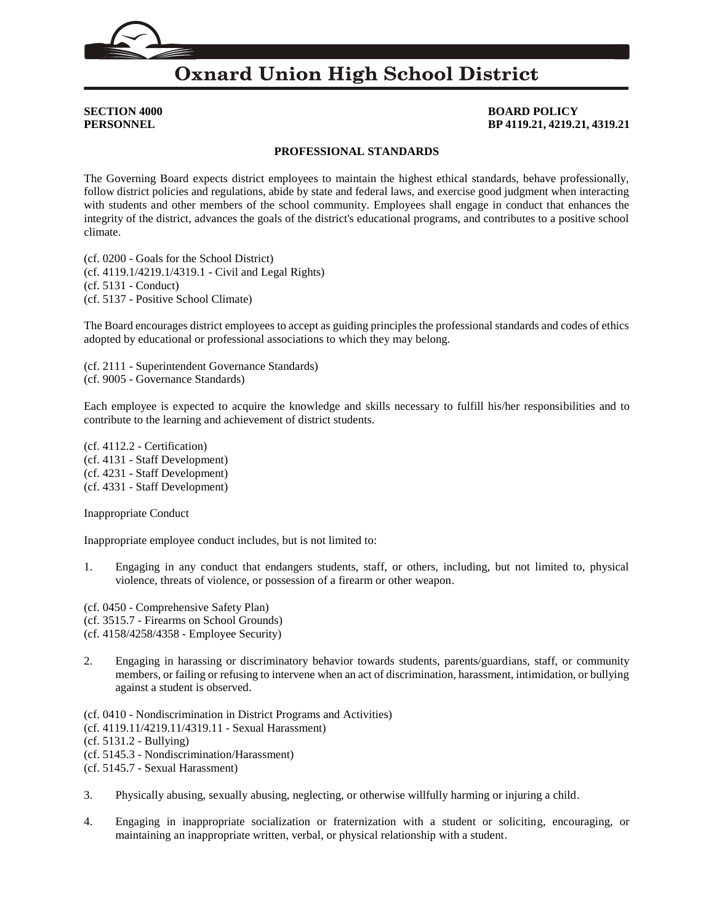## **SECTION 4000 BOARD POLICY PERSONNEL BP 4119.21, 4219.21, 4319.21**

### **PROFESSIONAL STANDARDS**

The Governing Board expects district employees to maintain the highest ethical standards, behave professionally, follow district policies and regulations, abide by state and federal laws, and exercise good judgment when interacting with students and other members of the school community. Employees shall engage in conduct that enhances the integrity of the district, advances the goals of the district's educational programs, and contributes to a positive school climate.

(cf. [0200](http://gamutonline.net/displayPolicy/909473/4) - Goals for the School District) (cf. [4119.1](http://gamutonline.net/displayPolicy/324899/4)[/4219.1](http://gamutonline.net/displayPolicy/324962/4)[/4319.1](http://gamutonline.net/displayPolicy/324963/4) - Civil and Legal Rights) (cf. [5131](http://gamutonline.net/displayPolicy/931147/4) - Conduct) (cf. [5137](http://gamutonline.net/displayPolicy/170904/4) - Positive School Climate)

The Board encourages district employees to accept as guiding principles the professional standards and codes of ethics adopted by educational or professional associations to which they may belong.

(cf. [2111](http://gamutonline.net/displayPolicy/244933/4) - Superintendent Governance Standards) (cf. [9005](http://gamutonline.net/displayPolicy/234095/4) - Governance Standards)

Each employee is expected to acquire the knowledge and skills necessary to fulfill his/her responsibilities and to contribute to the learning and achievement of district students.

(cf. [4112.2](http://gamutonline.net/displayPolicy/1053063/4) - Certification) (cf. [4131](http://gamutonline.net/displayPolicy/1002203/4) - Staff Development) (cf. [4231](http://gamutonline.net/displayPolicy/1002207/4) - Staff Development) (cf. [4331](http://gamutonline.net/displayPolicy/171627/4) - Staff Development)

Inappropriate Conduct

Inappropriate employee conduct includes, but is not limited to:

1. Engaging in any conduct that endangers students, staff, or others, including, but not limited to, physical violence, threats of violence, or possession of a firearm or other weapon.

(cf. [0450](http://gamutonline.net/displayPolicy/1053052/4) - Comprehensive Safety Plan) (cf. [3515.7](http://gamutonline.net/displayPolicy/1040609/4) - Firearms on School Grounds) (cf. [4158](http://gamutonline.net/displayPolicy/244948/4)[/4258](http://gamutonline.net/displayPolicy/321746/4)[/4358](http://gamutonline.net/displayPolicy/321747/4) - Employee Security)

2. Engaging in harassing or discriminatory behavior towards students, parents/guardians, staff, or community members, or failing or refusing to intervene when an act of discrimination, harassment, intimidation, or bullying against a student is observed.

(cf. [0410](http://gamutonline.net/displayPolicy/890898/4) - Nondiscrimination in District Programs and Activities)

(cf. [4119.11](http://gamutonline.net/displayPolicy/324900/4)[/4219.11](http://gamutonline.net/displayPolicy/324964/4)[/4319.11](http://gamutonline.net/displayPolicy/324965/4) - Sexual Harassment)

(cf. [5131.2](http://gamutonline.net/displayPolicy/1002209/4) - Bullying)

- (cf. [5145.3](http://gamutonline.net/displayPolicy/1056960/4) Nondiscrimination/Harassment)
- (cf. [5145.7](http://gamutonline.net/displayPolicy/1056962/4) Sexual Harassment)
- 3. Physically abusing, sexually abusing, neglecting, or otherwise willfully harming or injuring a child.
- 4. Engaging in inappropriate socialization or fraternization with a student or soliciting, encouraging, or maintaining an inappropriate written, verbal, or physical relationship with a student.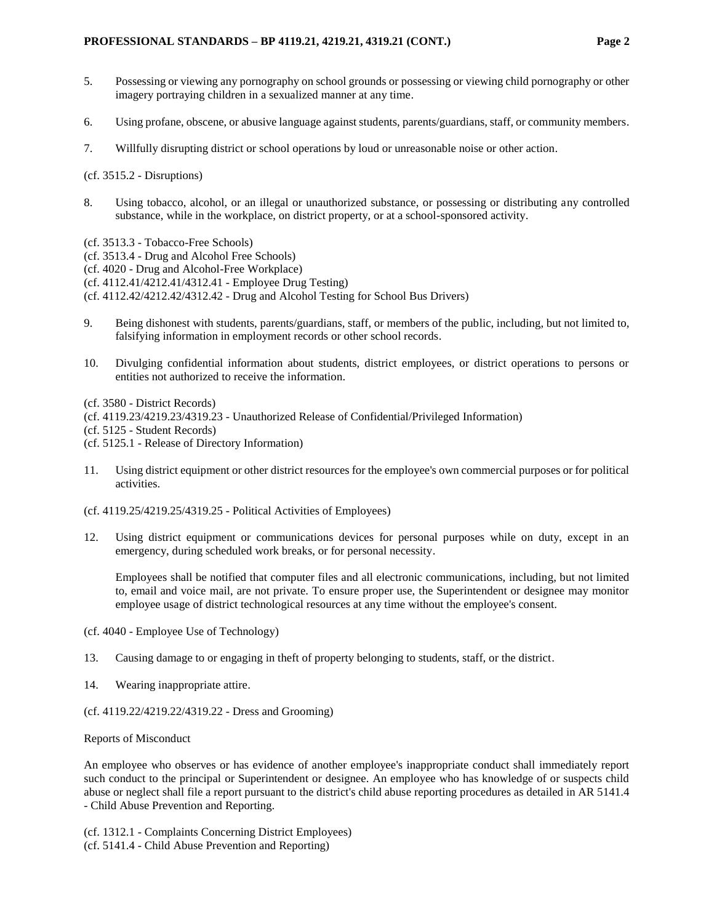### **PROFESSIONAL STANDARDS – BP 4119.21, 4219.21, 4319.21 (CONT.) Page 2**

- 5. Possessing or viewing any pornography on school grounds or possessing or viewing child pornography or other imagery portraying children in a sexualized manner at any time.
- 6. Using profane, obscene, or abusive language against students, parents/guardians, staff, or community members.
- 7. Willfully disrupting district or school operations by loud or unreasonable noise or other action.

(cf. [3515.2](http://gamutonline.net/displayPolicy/171158/4) - Disruptions)

- 8. Using tobacco, alcohol, or an illegal or unauthorized substance, or possessing or distributing any controlled substance, while in the workplace, on district property, or at a school-sponsored activity.
- (cf. [3513.3](http://gamutonline.net/displayPolicy/1053057/4) Tobacco-Free Schools)
- (cf. [3513.4](http://gamutonline.net/displayPolicy/1087183/4) Drug and Alcohol Free Schools)
- (cf. [4020](http://gamutonline.net/displayPolicy/931142/4) Drug and Alcohol-Free Workplace)
- (cf. [4112.41](http://gamutonline.net/displayPolicy/171559/4)[/4212.41](http://gamutonline.net/displayPolicy/171262/4)[/4312.41](http://gamutonline.net/displayPolicy/171263/4) Employee Drug Testing)
- (cf. [4112.42](http://gamutonline.net/displayPolicy/171114/4)[/4212.42](http://gamutonline.net/displayPolicy/171357/4)[/4312.42](http://gamutonline.net/displayPolicy/171358/4) Drug and Alcohol Testing for School Bus Drivers)
- 9. Being dishonest with students, parents/guardians, staff, or members of the public, including, but not limited to, falsifying information in employment records or other school records.
- 10. Divulging confidential information about students, district employees, or district operations to persons or entities not authorized to receive the information.

(cf. [3580](http://gamutonline.net/displayPolicy/1049427/4) - District Records)

(cf. [4119.23](http://gamutonline.net/displayPolicy/303903/4)[/4219.23](http://gamutonline.net/displayPolicy/321731/4)[/4319.23](http://gamutonline.net/displayPolicy/321732/4) - Unauthorized Release of Confidential/Privileged Information)

(cf. [5125](http://gamutonline.net/displayPolicy/559084/4) - Student Records)

- (cf. [5125.1](http://gamutonline.net/displayPolicy/274285/4) Release of Directory Information)
- 11. Using district equipment or other district resources for the employee's own commercial purposes or for political activities.
- (cf. [4119.25](http://gamutonline.net/displayPolicy/321733/4)[/4219.25](http://gamutonline.net/displayPolicy/321734/4)[/4319.25](http://gamutonline.net/displayPolicy/321735/4) Political Activities of Employees)
- 12. Using district equipment or communications devices for personal purposes while on duty, except in an emergency, during scheduled work breaks, or for personal necessity.

Employees shall be notified that computer files and all electronic communications, including, but not limited to, email and voice mail, are not private. To ensure proper use, the Superintendent or designee may monitor employee usage of district technological resources at any time without the employee's consent.

(cf. [4040](http://gamutonline.net/displayPolicy/1002201/4) - Employee Use of Technology)

- 13. Causing damage to or engaging in theft of property belonging to students, staff, or the district.
- 14. Wearing inappropriate attire.
- (cf. [4119.22](http://gamutonline.net/displayPolicy/170766/4)[/4219.22](http://gamutonline.net/displayPolicy/336754/4)[/4319.22](http://gamutonline.net/displayPolicy/336755/4) Dress and Grooming)

Reports of Misconduct

An employee who observes or has evidence of another employee's inappropriate conduct shall immediately report such conduct to the principal or Superintendent or designee. An employee who has knowledge of or suspects child abuse or neglect shall file a report pursuant to the district's child abuse reporting procedures as detailed in AR 5141.4 - Child Abuse Prevention and Reporting.

(cf. [1312.1](http://gamutonline.net/displayPolicy/170632/4) - Complaints Concerning District Employees) (cf. [5141.4](http://gamutonline.net/displayPolicy/352660/4) - Child Abuse Prevention and Reporting)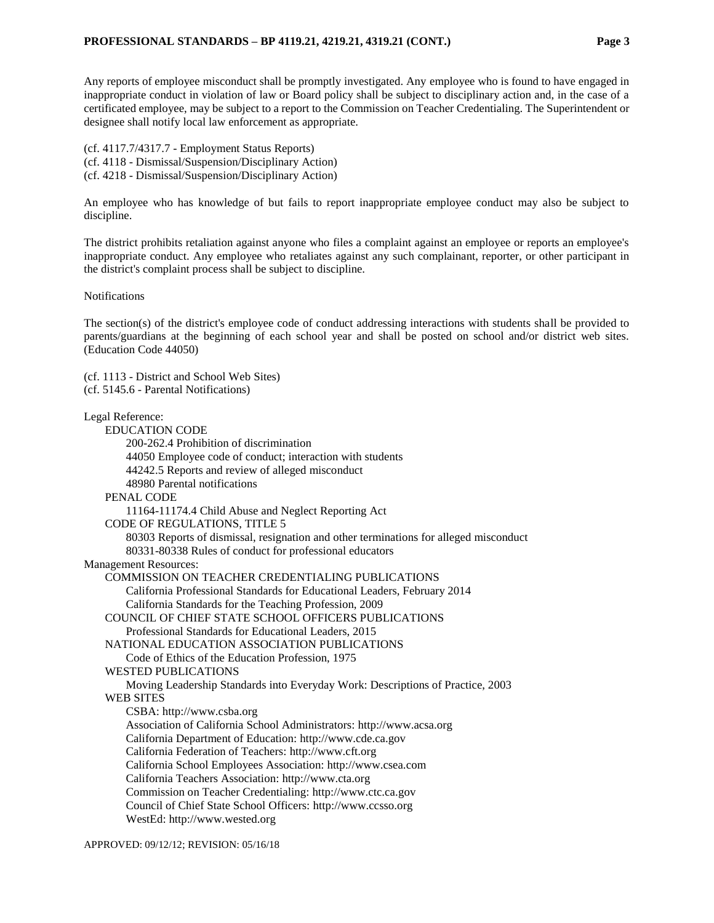Any reports of employee misconduct shall be promptly investigated. Any employee who is found to have engaged in inappropriate conduct in violation of law or Board policy shall be subject to disciplinary action and, in the case of a certificated employee, may be subject to a report to the Commission on Teacher Credentialing. The Superintendent or designee shall notify local law enforcement as appropriate.

(cf. [4117.7](http://gamutonline.net/displayPolicy/929979/4)[/4317.7](http://gamutonline.net/displayPolicy/929980/4) - Employment Status Reports) (cf. [4118](http://gamutonline.net/displayPolicy/931143/4) - Dismissal/Suspension/Disciplinary Action) (cf. [4218](http://gamutonline.net/displayPolicy/170827/4) - Dismissal/Suspension/Disciplinary Action)

An employee who has knowledge of but fails to report inappropriate employee conduct may also be subject to discipline.

The district prohibits retaliation against anyone who files a complaint against an employee or reports an employee's inappropriate conduct. Any employee who retaliates against any such complainant, reporter, or other participant in the district's complaint process shall be subject to discipline.

Notifications

The section(s) of the district's employee code of conduct addressing interactions with students shall be provided to parents/guardians at the beginning of each school year and shall be posted on school and/or district web sites. (Education Code 44050)

(cf. [1113](http://gamutonline.net/displayPolicy/211084/4) - District and School Web Sites) (cf. [5145.6](http://gamutonline.net/displayPolicy/222839/4) - Parental Notifications) Legal Reference: EDUCATION CODE [200](http://gamutonline.net/displayPolicy/138754/4)[-262.4](http://gamutonline.net/displayPolicy/138778/4) Prohibition of discrimination 44050 Employee code of conduct; interaction with students [44242.5](http://gamutonline.net/displayPolicy/899458/4) Reports and review of alleged misconduct [48980](http://gamutonline.net/displayPolicy/226041/4) Parental notifications PENAL CODE [11164](http://gamutonline.net/displayPolicy/169476/4)[-11174.4](http://gamutonline.net/displayPolicy/369763/4) Child Abuse and Neglect Reporting Act CODE OF REGULATIONS, TITLE 5 [80303](http://gamutonline.net/displayPolicy/189546/4) Reports of dismissal, resignation and other terminations for alleged misconduct [80331](http://gamutonline.net/displayPolicy/189390/4)[-80338](http://gamutonline.net/displayPolicy/189397/4) Rules of conduct for professional educators Management Resources: COMMISSION ON TEACHER CREDENTIALING PUBLICATIONS California Professional Standards for Educational Leaders, February 2014 California Standards for the Teaching Profession, 2009 COUNCIL OF CHIEF STATE SCHOOL OFFICERS PUBLICATIONS Professional Standards for Educational Leaders, 2015 NATIONAL EDUCATION ASSOCIATION PUBLICATIONS Code of Ethics of the Education Profession, 1975 WESTED PUBLICATIONS Moving Leadership Standards into Everyday Work: Descriptions of Practice, 2003 WEB SITES CSBA: [http://www.csba.org](http://www.csba.org/) Association of California School Administrators: [http://www.acsa.org](http://www.acsa.org/) California Department of Education: [http://www.cde.ca.gov](http://www.cde.ca.gov/) California Federation of Teachers: [http://www.cft.org](http://www.cft.org/) California School Employees Association: [http://www.csea.com](http://www.csea.com/) California Teachers Association: [http://www.cta.org](http://www.cta.org/) Commission on Teacher Credentialing: [http://www.ctc.ca.gov](http://www.ctc.ca.gov/) Council of Chief State School Officers: [http://www.ccsso.org](http://www.ccsso.org/) WestEd: [http://www.wested.org](http://www.wested.org/)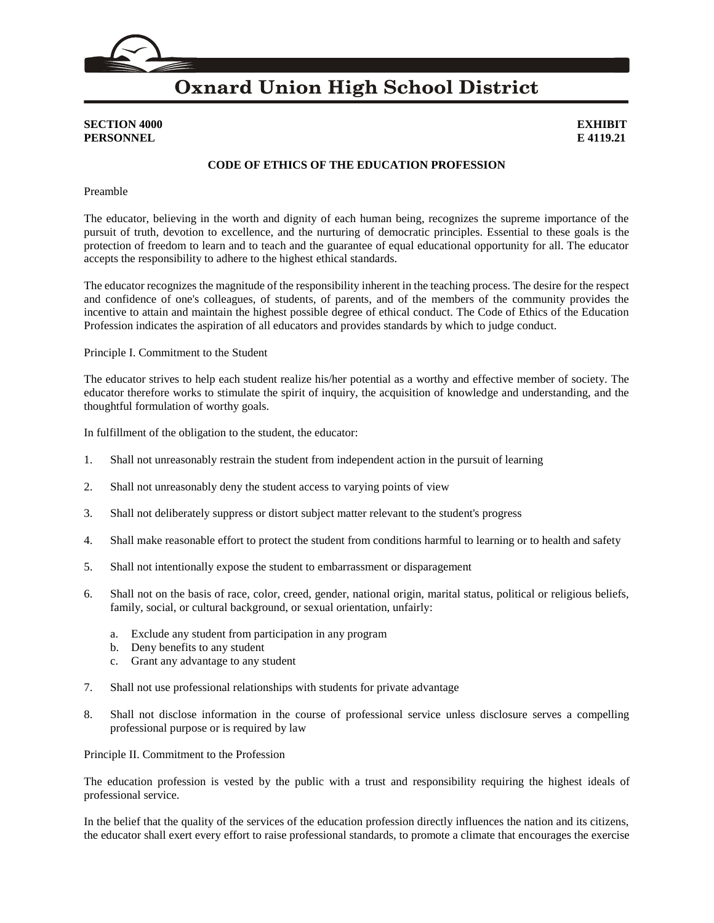

### **SECTION 4000 EXHIBIT PERSONNEL E 4119.21**

### **CODE OF ETHICS OF THE EDUCATION PROFESSION**

Preamble

The educator, believing in the worth and dignity of each human being, recognizes the supreme importance of the pursuit of truth, devotion to excellence, and the nurturing of democratic principles. Essential to these goals is the protection of freedom to learn and to teach and the guarantee of equal educational opportunity for all. The educator accepts the responsibility to adhere to the highest ethical standards.

The educator recognizes the magnitude of the responsibility inherent in the teaching process. The desire for the respect and confidence of one's colleagues, of students, of parents, and of the members of the community provides the incentive to attain and maintain the highest possible degree of ethical conduct. The Code of Ethics of the Education Profession indicates the aspiration of all educators and provides standards by which to judge conduct.

Principle I. Commitment to the Student

The educator strives to help each student realize his/her potential as a worthy and effective member of society. The educator therefore works to stimulate the spirit of inquiry, the acquisition of knowledge and understanding, and the thoughtful formulation of worthy goals.

In fulfillment of the obligation to the student, the educator:

- 1. Shall not unreasonably restrain the student from independent action in the pursuit of learning
- 2. Shall not unreasonably deny the student access to varying points of view
- 3. Shall not deliberately suppress or distort subject matter relevant to the student's progress
- 4. Shall make reasonable effort to protect the student from conditions harmful to learning or to health and safety
- 5. Shall not intentionally expose the student to embarrassment or disparagement
- 6. Shall not on the basis of race, color, creed, gender, national origin, marital status, political or religious beliefs, family, social, or cultural background, or sexual orientation, unfairly:
	- a. Exclude any student from participation in any program
	- b. Deny benefits to any student
	- c. Grant any advantage to any student
- 7. Shall not use professional relationships with students for private advantage
- 8. Shall not disclose information in the course of professional service unless disclosure serves a compelling professional purpose or is required by law

Principle II. Commitment to the Profession

The education profession is vested by the public with a trust and responsibility requiring the highest ideals of professional service.

In the belief that the quality of the services of the education profession directly influences the nation and its citizens, the educator shall exert every effort to raise professional standards, to promote a climate that encourages the exercise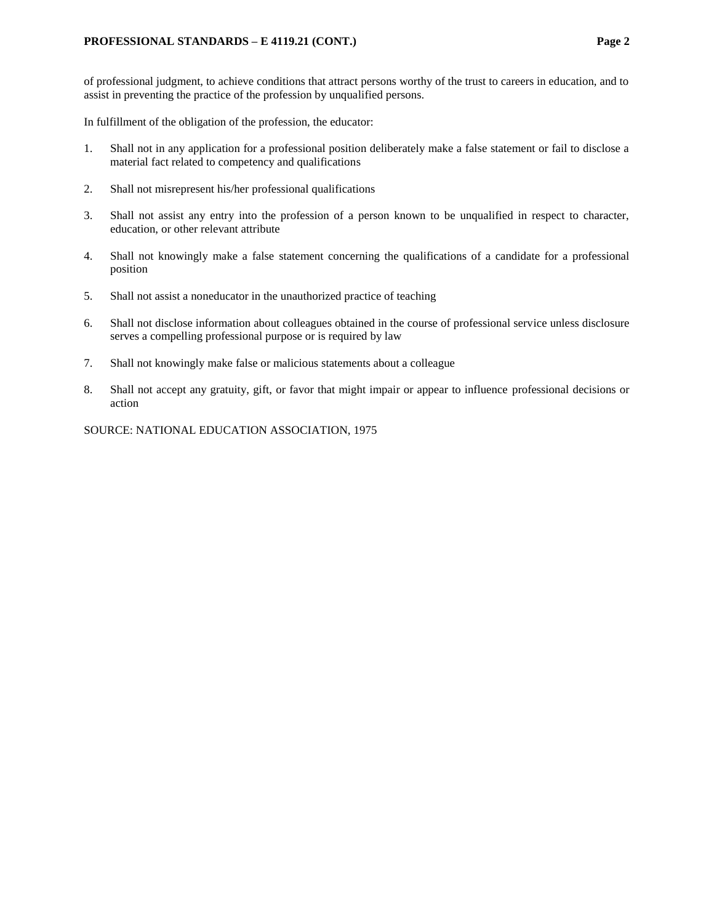of professional judgment, to achieve conditions that attract persons worthy of the trust to careers in education, and to assist in preventing the practice of the profession by unqualified persons.

In fulfillment of the obligation of the profession, the educator:

- 1. Shall not in any application for a professional position deliberately make a false statement or fail to disclose a material fact related to competency and qualifications
- 2. Shall not misrepresent his/her professional qualifications
- 3. Shall not assist any entry into the profession of a person known to be unqualified in respect to character, education, or other relevant attribute
- 4. Shall not knowingly make a false statement concerning the qualifications of a candidate for a professional position
- 5. Shall not assist a noneducator in the unauthorized practice of teaching
- 6. Shall not disclose information about colleagues obtained in the course of professional service unless disclosure serves a compelling professional purpose or is required by law
- 7. Shall not knowingly make false or malicious statements about a colleague
- 8. Shall not accept any gratuity, gift, or favor that might impair or appear to influence professional decisions or action

SOURCE: NATIONAL EDUCATION ASSOCIATION, 1975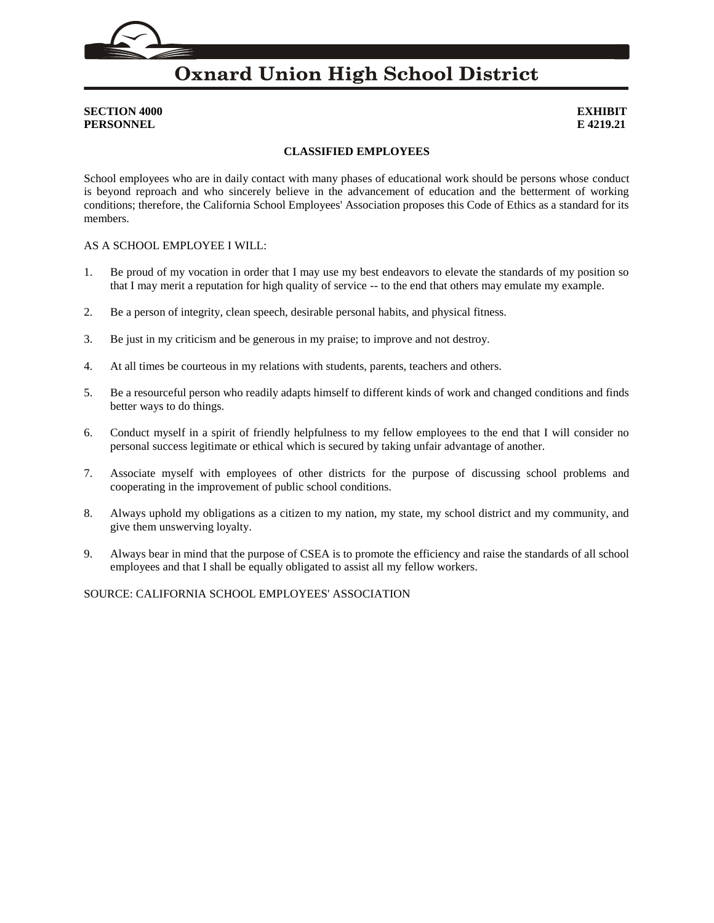## **SECTION 4000 EXHIBIT PERSONNEL E 4219.21**

## **CLASSIFIED EMPLOYEES**

School employees who are in daily contact with many phases of educational work should be persons whose conduct is beyond reproach and who sincerely believe in the advancement of education and the betterment of working conditions; therefore, the California School Employees' Association proposes this Code of Ethics as a standard for its members.

### AS A SCHOOL EMPLOYEE I WILL:

- 1. Be proud of my vocation in order that I may use my best endeavors to elevate the standards of my position so that I may merit a reputation for high quality of service -- to the end that others may emulate my example.
- 2. Be a person of integrity, clean speech, desirable personal habits, and physical fitness.
- 3. Be just in my criticism and be generous in my praise; to improve and not destroy.
- 4. At all times be courteous in my relations with students, parents, teachers and others.
- 5. Be a resourceful person who readily adapts himself to different kinds of work and changed conditions and finds better ways to do things.
- 6. Conduct myself in a spirit of friendly helpfulness to my fellow employees to the end that I will consider no personal success legitimate or ethical which is secured by taking unfair advantage of another.
- 7. Associate myself with employees of other districts for the purpose of discussing school problems and cooperating in the improvement of public school conditions.
- 8. Always uphold my obligations as a citizen to my nation, my state, my school district and my community, and give them unswerving loyalty.
- 9. Always bear in mind that the purpose of CSEA is to promote the efficiency and raise the standards of all school employees and that I shall be equally obligated to assist all my fellow workers.

SOURCE: CALIFORNIA SCHOOL EMPLOYEES' ASSOCIATION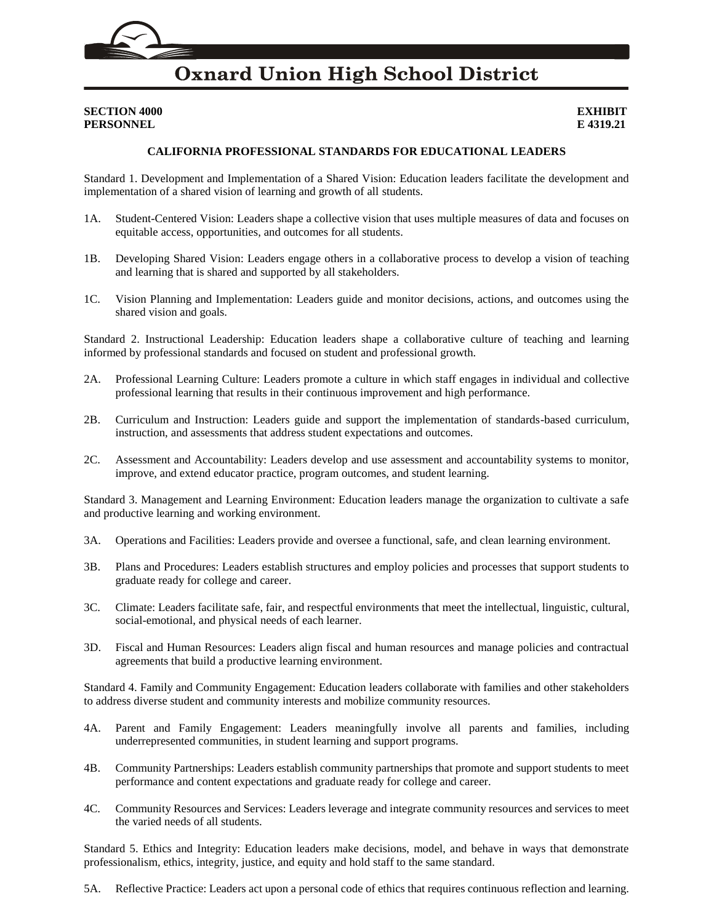### **SECTION 4000 EXHIBIT PERSONNEL E 4319.21**

### **CALIFORNIA PROFESSIONAL STANDARDS FOR EDUCATIONAL LEADERS**

Standard 1. Development and Implementation of a Shared Vision: Education leaders facilitate the development and implementation of a shared vision of learning and growth of all students.

- 1A. Student-Centered Vision: Leaders shape a collective vision that uses multiple measures of data and focuses on equitable access, opportunities, and outcomes for all students.
- 1B. Developing Shared Vision: Leaders engage others in a collaborative process to develop a vision of teaching and learning that is shared and supported by all stakeholders.
- 1C. Vision Planning and Implementation: Leaders guide and monitor decisions, actions, and outcomes using the shared vision and goals.

Standard 2. Instructional Leadership: Education leaders shape a collaborative culture of teaching and learning informed by professional standards and focused on student and professional growth.

- 2A. Professional Learning Culture: Leaders promote a culture in which staff engages in individual and collective professional learning that results in their continuous improvement and high performance.
- 2B. Curriculum and Instruction: Leaders guide and support the implementation of standards-based curriculum, instruction, and assessments that address student expectations and outcomes.
- 2C. Assessment and Accountability: Leaders develop and use assessment and accountability systems to monitor, improve, and extend educator practice, program outcomes, and student learning.

Standard 3. Management and Learning Environment: Education leaders manage the organization to cultivate a safe and productive learning and working environment.

- 3A. Operations and Facilities: Leaders provide and oversee a functional, safe, and clean learning environment.
- 3B. Plans and Procedures: Leaders establish structures and employ policies and processes that support students to graduate ready for college and career.
- 3C. Climate: Leaders facilitate safe, fair, and respectful environments that meet the intellectual, linguistic, cultural, social-emotional, and physical needs of each learner.
- 3D. Fiscal and Human Resources: Leaders align fiscal and human resources and manage policies and contractual agreements that build a productive learning environment.

Standard 4. Family and Community Engagement: Education leaders collaborate with families and other stakeholders to address diverse student and community interests and mobilize community resources.

- 4A. Parent and Family Engagement: Leaders meaningfully involve all parents and families, including underrepresented communities, in student learning and support programs.
- 4B. Community Partnerships: Leaders establish community partnerships that promote and support students to meet performance and content expectations and graduate ready for college and career.
- 4C. Community Resources and Services: Leaders leverage and integrate community resources and services to meet the varied needs of all students.

Standard 5. Ethics and Integrity: Education leaders make decisions, model, and behave in ways that demonstrate professionalism, ethics, integrity, justice, and equity and hold staff to the same standard.

5A. Reflective Practice: Leaders act upon a personal code of ethics that requires continuous reflection and learning.